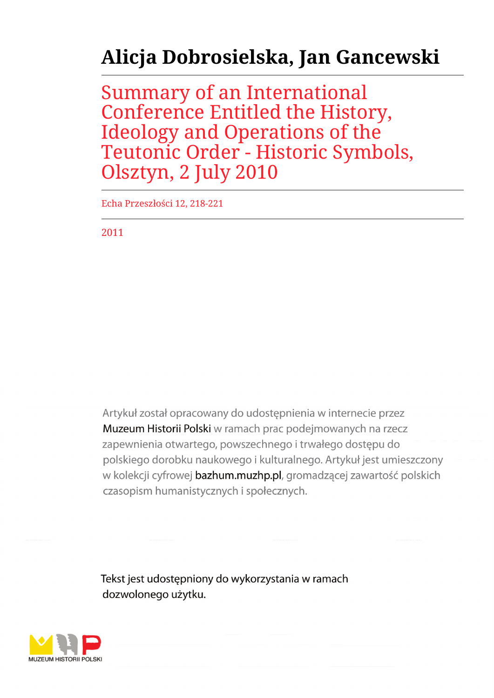## **Alicja Dobrosielska, Jan Gancewski**

Summary of an International Conference Entitled the History, Ideology and Operations of the Teutonic Order - Historic Symbols, Olsztyn, 2 July 2010

Echa Przeszłości 12, 218-221

2011

Artykuł został opracowany do udostepnienia w internecie przez Muzeum Historii Polski w ramach prac podejmowanych na rzecz zapewnienia otwartego, powszechnego i trwałego dostępu do polskiego dorobku naukowego i kulturalnego. Artykuł jest umieszczony w kolekcji cyfrowej bazhum.muzhp.pl, gromadzącej zawartość polskich czasopism humanistycznych i społecznych.

Tekst jest udostępniony do wykorzystania w ramach dozwolonego użytku.

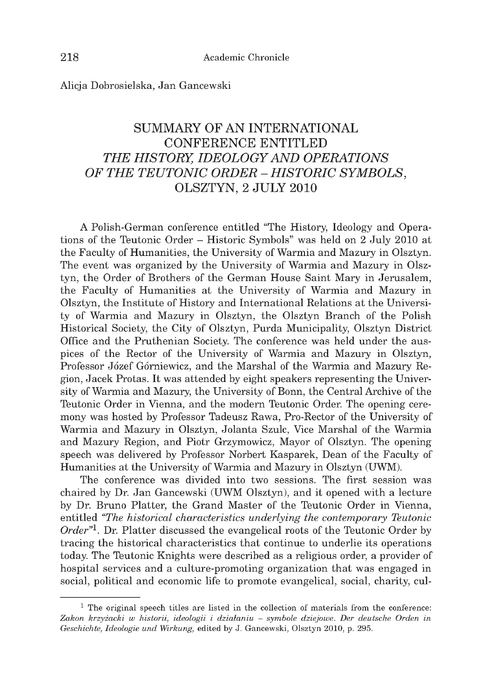Alicja Dobrosielska, Jan Gancewski

## **SUMMARY OF AN INTERNATIONAL CONFERENCE ENTITLED THE HISTORY, IDEOLOGY AND OPERATIONS** *OF THE TEUTONIC ORDER - HISTORIC SYMBOLS,* **OLSZTYN, 2 JULY 2010**

A Polish-German conference entitled "The History, Ideology and Operations of the Teutonic Order - Historic Symbols" was held on 2 July 2010 at the Faculty of Humanities, the University of Warmia and Mazury in Olsztyn. The event was organized by the University of Warmia and Mazury in Olsztyn, the Order of Brothers of the German House Saint Mary in Jerusalem, the Faculty of Humanities at the University of Warmia and Mazury in Olsztyn, the Institute of History and International Relations at the University of Warmia and Mazury in Olsztyn, the Olsztyn Branch of the Polish Historical Society, the City of Olsztyn, Purda Municipality, Olsztyn District Office and the Pruthenian Society. The conference was held under the auspices of the Rector of the University of Warmia and Mazury in Olsztyn, Professor Józef Górniewicz, and the Marshal of the Warmia and Mazury Region, Jacek Protas. It was attended by eight speakers representing the University of Warmia and Mazury, the University of Bonn, the Central Archive of the Teutonic Order in Vienna, and the modern Teutonic Order. The opening ceremony was hosted by Professor Tadeusz Rawa, Pro-Rector of the University of Warmia and Mazury in Olsztyn, Jolanta Szulc, Vice Marshal of the Warmia and Mazury Region, and Piotr Grzymowicz, Mayor of Olsztyn. The opening speech was delivered by Professor Norbert Kasparek, Dean of the Faculty of Humanities at the University of Warmia and Mazury in Olsztyn (UWM).

The conference was divided into two sessions. The first session was chaired by Dr. Jan Gancewski (UWM Olsztyn), and it opened with a lecture by Dr. Bruno Platter, the Grand Master of the Teutonic Order in Vienna, entitled *"The historical characteristics underlying the contemporary Teutonic Order"1.* Dr. Platter discussed the evangelical roots of the Teutonic Order by tracing the historical characteristics that continue to underlie its operations today. The Teutonic Knights were described as a religious order, a provider of hospital services and a culture-promoting organization that was engaged in social, political and economic life to promote evangelical, social, charity, cul-

 $<sup>1</sup>$  The original speech titles are listed in the collection of materials from the conference:</sup> Zakon krzyżacki w historii, ideologii i działaniu – symbole dziejowe. Der deutsche Orden in *Geschichte, Ideologie und Wirkung,* edited by J. Gancewski, Olsztyn 2010, p. 295.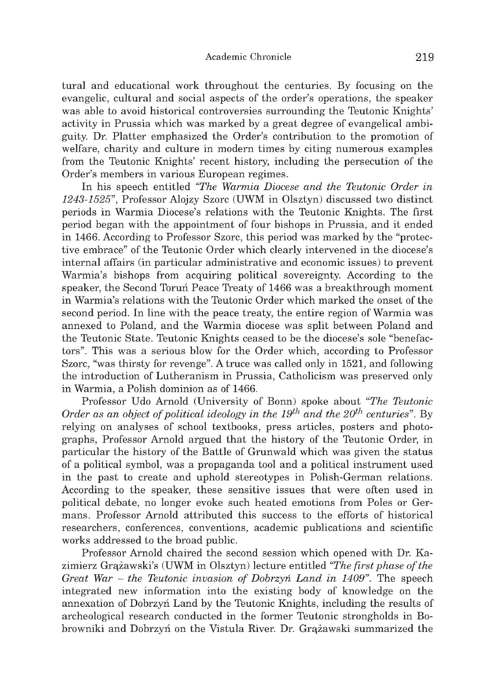tural and educational work throughout the centuries. By focusing on the evangelic, cultural and social aspects of the order's operations, the speaker was able to avoid historical controversies surrounding the Teutonic Knights' activity in Prussia which was marked by a great degree of evangelical ambiguity. Dr. Platter emphasized the Order's contribution to the promotion of welfare, charity and culture in modern times by citing numerous examples from the Teutonic Knights' recent history, including the persecution of the Order's members in various European regimes.

In his speech entitled *"The Warmia Diocese and the Teutonic Order in 1243-1525",* Professor Alojzy Szorc (UWM in Olsztyn) discussed two distinct periods in Warmia Diocese's relations with the Teutonic Knights. The first period began with the appointment of four bishops in Prussia, and it ended in 1466. According to Professor Szorc, this period was marked by the "protective embrace" of the Teutonic Order which clearly intervened in the diocese's internal affairs (in particular administrative and economic issues) to prevent Warmia's bishops from acquiring political sovereignty. According to the speaker, the Second Toruń Peace Treaty of 1466 was a breakthrough moment in Warmia's relations with the Teutonic Order which marked the onset of the second period. In line with the peace treaty, the entire region of Warmia was annexed to Poland, and the Warmia diocese was split between Poland and the Teutonic State. Teutonic Knights ceased to be the diocese's sole "benefactors". This was a serious blow for the Order which, according to Professor Szorc, "was thirsty for revenge". A truce was called only in 1521, and following the introduction of Lutheranism in Prussia, Catholicism was preserved only in Warmia, a Polish dominion as of 1466.

Professor Udo Arnold (University of Bonn) spoke about "*The Teutonic Order as an object of political ideology in the 19<sup>th</sup> and the 20<sup>th</sup> centuries". By* relying on analyses of school textbooks, press articles, posters and photographs, Professor Arnold argued that the history of the Teutonic Order, in particular the history of the Battle of Grunwald which was given the status of a political symbol, was a propaganda tool and a political instrum ent used in the past to create and uphold stereotypes in Polish-German relations. According to the speaker, these sensitive issues that were often used in political debate, no longer evoke such heated emotions from Poles or Germans. Professor Arnold attributed this success to the efforts of historical researchers, conferences, conventions, academic publications and scientific works addressed to the broad public.

Professor Arnold chaired the second session which opened with Dr. Kazimierz Grążawski's (UWM in Olsztyn) lecture entitled *"The first phase of the Great War - the Teutonic invasion of Dobrzyń Land in 1409".* The speech integrated new information into the existing body of knowledge on the annexation of Dobrzyń Land by the Teutonic Knights, including the results of archeological research conducted in the former Teutonic strongholds in Bobrowniki and Dobrzyń on the Vistula River. Dr. Grążawski summarized the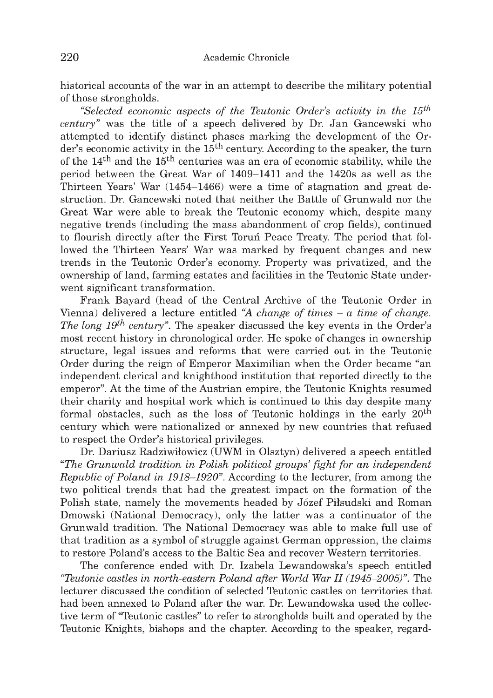historical accounts of the war in an attempt to describe the military potential of those strongholds.

*"Selected economic aspects of the Teutonic Order's activity in the 15th century"* was the title of a speech delivered by Dr. Jan Gancewski who attempted to identify distinct phases marking the development of the Order's economic activity in the 15<sup>th</sup> century. According to the speaker, the turn of the  $14<sup>th</sup>$  and the  $15<sup>th</sup>$  centuries was an era of economic stability, while the period between the Great War of 1409-1411 and the 1420s as well as the Thirteen Years' War (1454-1466) were a time of stagnation and great destruction. Dr. Gancewski noted that neither the Battle of Grunwald nor the Great War were able to break the Teutonic economy which, despite many negative trends (including the mass abandonment of crop fields), continued to flourish directly after the First Toruń Peace Treaty. The period that followed the Thirteen Years' War was marked by frequent changes and new trends in the Teutonic Order's economy. Property was privatized, and the ownership of land, farming estates and facilities in the Teutonic State underwent significant transformation.

Frank Bayard (head of the Central Archive of the Teutonic Order in Vienna) delivered a lecture entitled *"A change of times - a time of change. The long 19th century".* The speaker discussed the key events in the Order's most recent history in chronological order. He spoke of changes in ownership structure, legal issues and reforms that were carried out in the Teutonic Order during the reign of Emperor Maximilian when the Order became "an independent clerical and knighthood institution that reported directly to the emperor". At the time of the Austrian empire, the Teutonic Knights resumed their charity and hospital work which is continued to this day despite many formal obstacles, such as the loss of Teutonic holdings in the early 20th century which were nationalized or annexed by new countries that refused to respect the Order's historical privileges.

Dr. Dariusz Radziwiłowicz (UWM in Olsztyn) delivered a speech entitled *"The Grunwald tradition in Polish political groups' fight for an independent Republic of Poland in 1918-1920".* According to the lecturer, from among the two political trends that had the greatest impact on the formation of the Polish state, namely the movements headed by Józef Piłsudski and Roman Dmowski (National Democracy), only the latter was a continuator of the Grunwald tradition. The National Democracy was able to make full use of that tradition as a symbol of struggle against German oppression, the claims to restore Poland's access to the Baltic Sea and recover Western territories.

The conference ended with Dr. Izabela Lewandowska's speech entitled *"Teutonic castles in north-eastern Poland after World War II (1945-2005)".* The lecturer discussed the condition of selected Teutonic castles on territories that had been annexed to Poland after the war. Dr. Lewandowska used the collective term of "Teutonic castles" to refer to strongholds built and operated by the Teutonic Knights, bishops and the chapter. According to the speaker, regard